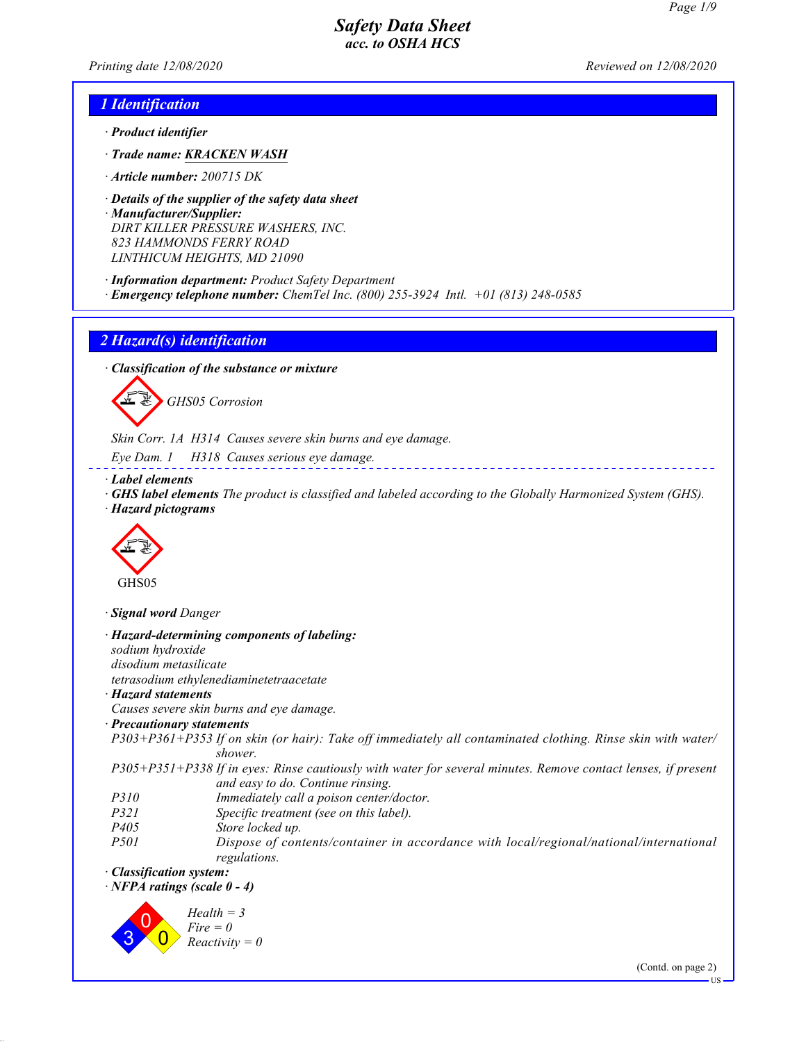*Printing date 12/08/2020 Reviewed on 12/08/2020*

## *1 Identification*

- *· Product identifier*
- *· Trade name: KRACKEN WASH*
- *· Article number: 200715 DK*
- *· Details of the supplier of the safety data sheet*
- *· Manufacturer/Supplier: DIRT KILLER PRESSURE WASHERS, INC. 823 HAMMONDS FERRY ROAD LINTHICUM HEIGHTS, MD 21090*
- *· Information department: Product Safety Department · Emergency telephone number: ChemTel Inc. (800) 255-3924 Intl. +01 (813) 248-0585*

## *2 Hazard(s) identification*

*· Classification of the substance or mixture*

GHS05 Corrosion

*Skin Corr. 1A H314 Causes severe skin burns and eye damage.*

*Eye Dam. 1 H318 Causes serious eye damage.*

*· Label elements*

*· GHS label elements The product is classified and labeled according to the Globally Harmonized System (GHS).*

\_\_\_\_\_\_\_\_\_\_\_\_\_\_\_\_\_\_\_\_\_\_\_\_

*· Hazard pictograms*



*· Signal word Danger*

|                                    | · Hazard-determining components of labeling:                                                                                                       |
|------------------------------------|----------------------------------------------------------------------------------------------------------------------------------------------------|
| sodium hydroxide                   |                                                                                                                                                    |
| disodium metasilicate              |                                                                                                                                                    |
|                                    | tetrasodium ethylenediaminetetraacetate                                                                                                            |
| · Hazard statements                |                                                                                                                                                    |
|                                    | Causes severe skin burns and eye damage.                                                                                                           |
| · Precautionary statements         |                                                                                                                                                    |
|                                    | P303+P361+P353 If on skin (or hair): Take off immediately all contaminated clothing. Rinse skin with water/<br>shower.                             |
|                                    | P305+P351+P338 If in eyes: Rinse cautiously with water for several minutes. Remove contact lenses, if present<br>and easy to do. Continue rinsing. |
| <i>P310</i>                        | Immediately call a poison center/doctor.                                                                                                           |
| <i>P321</i>                        | Specific treatment (see on this label).                                                                                                            |
| P <sub>405</sub>                   | Store locked up.                                                                                                                                   |
| <i>P501</i>                        | Dispose of contents/container in accordance with local/regional/national/international<br>regulations.                                             |
| · Classification system:           |                                                                                                                                                    |
| $\cdot$ NFPA ratings (scale 0 - 4) |                                                                                                                                                    |
|                                    | $Health = 3$<br>$Fire = 0$<br>$Reactivity = 0$                                                                                                     |
|                                    | $(C_{\text{out}}\lambda_{\text{on}}\text{max}2)$                                                                                                   |

(Contd. on page 2)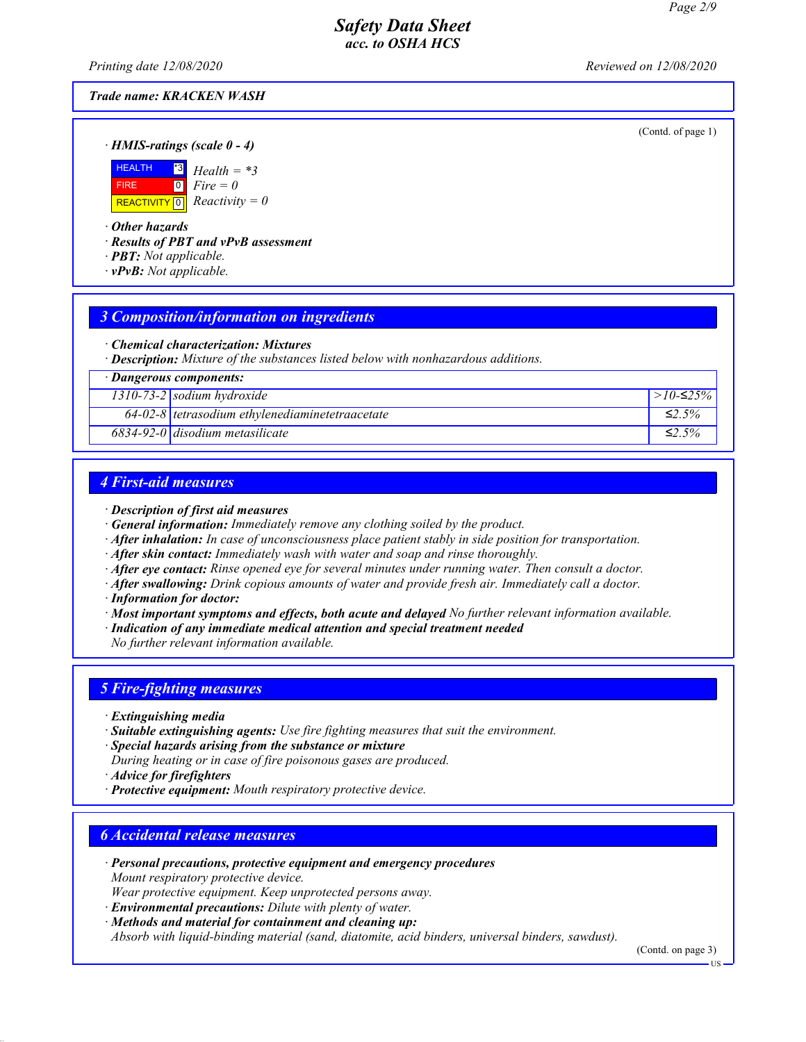*Printing date 12/08/2020 Reviewed on 12/08/2020*

## *Trade name: KRACKEN WASH*

(Contd. of page 1)

*· HMIS-ratings (scale 0 - 4)*



*· Other hazards*

*· Results of PBT and vPvB assessment*

- *· PBT: Not applicable.*
- *· vPvB: Not applicable.*

## *3 Composition/information on ingredients*

*· Chemical characterization: Mixtures*

*· Description: Mixture of the substances listed below with nonhazardous additions.*

| · Dangerous components: |                                                   |              |
|-------------------------|---------------------------------------------------|--------------|
|                         | $1310-73-2$ sodium hydroxide                      | $>10-525\%$  |
|                         | $64-02-8$ tetrasodium ethylenediaminetetraacetate | $\leq 2.5\%$ |
|                         | $6834-92-0$ disodium metasilicate                 | $\leq$ 2 5%  |
|                         |                                                   |              |

## *4 First-aid measures*

#### *· Description of first aid measures*

- *· General information: Immediately remove any clothing soiled by the product.*
- *· After inhalation: In case of unconsciousness place patient stably in side position for transportation.*
- *· After skin contact: Immediately wash with water and soap and rinse thoroughly.*
- *· After eye contact: Rinse opened eye for several minutes under running water. Then consult a doctor.*
- *· After swallowing: Drink copious amounts of water and provide fresh air. Immediately call a doctor.*
- *· Information for doctor:*
- *· Most important symptoms and effects, both acute and delayed No further relevant information available.*
- *· Indication of any immediate medical attention and special treatment needed*

*No further relevant information available.*

# *5 Fire-fighting measures*

- *· Extinguishing media*
- *· Suitable extinguishing agents: Use fire fighting measures that suit the environment.*
- *· Special hazards arising from the substance or mixture*
- *During heating or in case of fire poisonous gases are produced.*
- *· Advice for firefighters*
- *· Protective equipment: Mouth respiratory protective device.*

## *6 Accidental release measures*

- *· Personal precautions, protective equipment and emergency procedures Mount respiratory protective device.*
- *Wear protective equipment. Keep unprotected persons away.*
- *· Environmental precautions: Dilute with plenty of water.*

*· Methods and material for containment and cleaning up: Absorb with liquid-binding material (sand, diatomite, acid binders, universal binders, sawdust).*

(Contd. on page 3)

US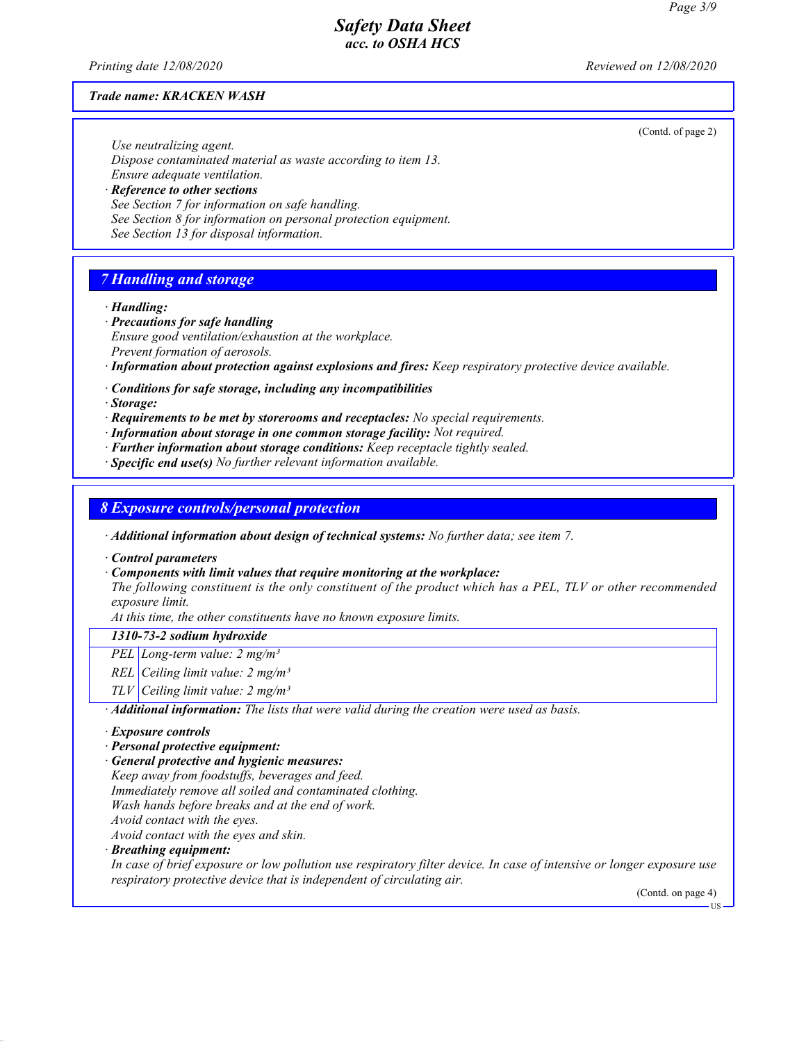(Contd. of page 2)

## *Safety Data Sheet acc. to OSHA HCS*

*Printing date 12/08/2020 Reviewed on 12/08/2020*

#### *Trade name: KRACKEN WASH*

*Use neutralizing agent. Dispose contaminated material as waste according to item 13. Ensure adequate ventilation.*

*· Reference to other sections See Section 7 for information on safe handling. See Section 8 for information on personal protection equipment. See Section 13 for disposal information.*

# *7 Handling and storage*

#### *· Handling:*

*· Precautions for safe handling Ensure good ventilation/exhaustion at the workplace. Prevent formation of aerosols.*

*· Information about protection against explosions and fires: Keep respiratory protective device available.*

*· Conditions for safe storage, including any incompatibilities*

*· Storage:*

*· Requirements to be met by storerooms and receptacles: No special requirements.*

*· Information about storage in one common storage facility: Not required.*

- *· Further information about storage conditions: Keep receptacle tightly sealed.*
- *· Specific end use(s) No further relevant information available.*

### *8 Exposure controls/personal protection*

*· Additional information about design of technical systems: No further data; see item 7.*

*· Control parameters*

*· Components with limit values that require monitoring at the workplace:*

*The following constituent is the only constituent of the product which has a PEL, TLV or other recommended exposure limit.*

*At this time, the other constituents have no known exposure limits.*

#### *1310-73-2 sodium hydroxide*

*PEL Long-term value: 2 mg/m³*

*REL Ceiling limit value: 2 mg/m³*

*TLV Ceiling limit value: 2 mg/m³*

*· Additional information: The lists that were valid during the creation were used as basis.*

#### *· Exposure controls*

- *· Personal protective equipment:*
- *· General protective and hygienic measures:*

*Keep away from foodstuffs, beverages and feed.*

*Immediately remove all soiled and contaminated clothing.*

*Wash hands before breaks and at the end of work.*

*Avoid contact with the eyes.*

*Avoid contact with the eyes and skin.*

*· Breathing equipment:*

*In case of brief exposure or low pollution use respiratory filter device. In case of intensive or longer exposure use respiratory protective device that is independent of circulating air.*

(Contd. on page 4)

US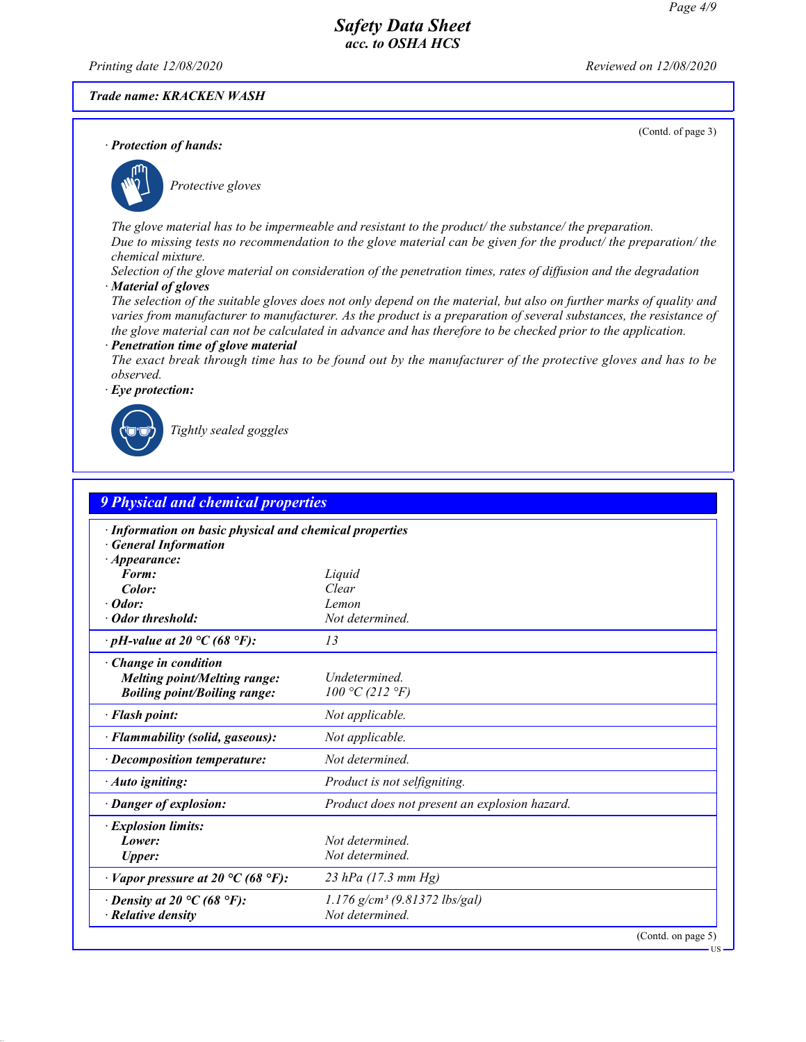*Printing date 12/08/2020 Reviewed on 12/08/2020*

### *Trade name: KRACKEN WASH*

(Contd. of page 3)

US



\_S*Protective gloves*

*The glove material has to be impermeable and resistant to the product/ the substance/ the preparation. Due to missing tests no recommendation to the glove material can be given for the product/ the preparation/ the chemical mixture.*

*Selection of the glove material on consideration of the penetration times, rates of diffusion and the degradation · Material of gloves*

*The selection of the suitable gloves does not only depend on the material, but also on further marks of quality and varies from manufacturer to manufacturer. As the product is a preparation of several substances, the resistance of the glove material can not be calculated in advance and has therefore to be checked prior to the application.*

#### *· Penetration time of glove material*

*The exact break through time has to be found out by the manufacturer of the protective gloves and has to be observed.*



\_R*Tightly sealed goggles*

| 9 Physical and chemical properties                                                                          |                                                               |
|-------------------------------------------------------------------------------------------------------------|---------------------------------------------------------------|
| · Information on basic physical and chemical properties<br><b>General Information</b><br><i>Appearance:</i> |                                                               |
| Form:                                                                                                       | Liquid                                                        |
| Color:                                                                                                      | Clear                                                         |
| $\cdot$ Odor:                                                                                               | Lemon                                                         |
| · Odor threshold:                                                                                           | Not determined.                                               |
| $\cdot$ pH-value at 20 °C (68 °F):                                                                          | 13                                                            |
| $\cdot$ Change in condition<br><b>Melting point/Melting range:</b><br><b>Boiling point/Boiling range:</b>   | Undetermined.<br>100 °C (212 °F)                              |
| · Flash point:                                                                                              | Not applicable.                                               |
| · Flammability (solid, gaseous):                                                                            | Not applicable.                                               |
| $\cdot$ Decomposition temperature:                                                                          | Not determined.                                               |
| · Auto igniting:                                                                                            | Product is not selfigniting.                                  |
| $\cdot$ Danger of explosion:                                                                                | Product does not present an explosion hazard.                 |
| <i>Explosion limits:</i><br>Lower:<br><b>Upper:</b>                                                         | Not determined.<br>Not determined.                            |
| $\cdot$ Vapor pressure at 20 °C (68 °F):                                                                    | 23 hPa (17.3 mm Hg)                                           |
| $\cdot$ Density at 20 °C (68 °F):<br>$\cdot$ Relative density                                               | $1.176$ g/cm <sup>3</sup> (9.81372 lbs/gal)<br>Not determined |
|                                                                                                             | (Contd. on page 5)                                            |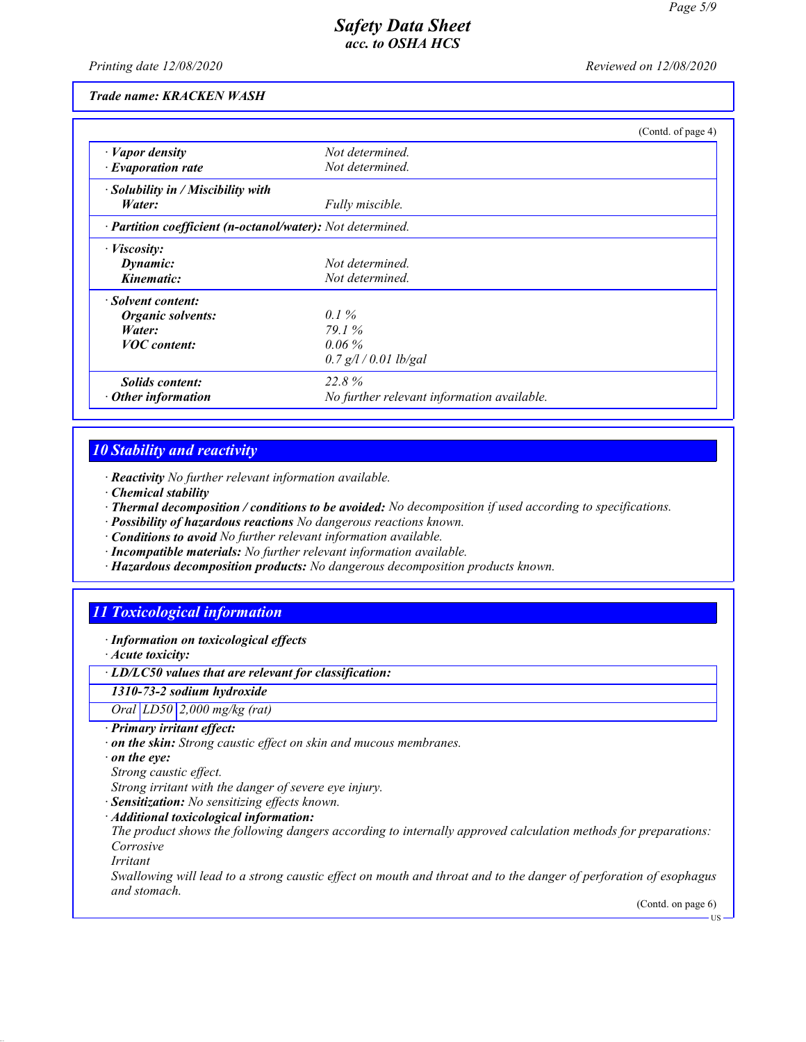*Printing date 12/08/2020 Reviewed on 12/08/2020*

#### *Trade name: KRACKEN WASH*

|                                                            |                                            | (Contd. of page 4) |
|------------------------------------------------------------|--------------------------------------------|--------------------|
| $\cdot$ <i>Vapor density</i>                               | Not determined.                            |                    |
| $\cdot$ Evaporation rate                                   | Not determined.                            |                    |
| $\cdot$ Solubility in / Miscibility with                   |                                            |                    |
| Water:                                                     | Fully miscible.                            |                    |
| · Partition coefficient (n-octanol/water): Not determined. |                                            |                    |
| $\cdot$ <i>Viscosity</i> :                                 |                                            |                    |
| Dynamic:                                                   | Not determined.                            |                    |
| Kinematic:                                                 | Not determined.                            |                    |
| · Solvent content:                                         |                                            |                    |
| <b>Organic solvents:</b>                                   | $0.1\%$                                    |                    |
| Water:                                                     | 79.1%                                      |                    |
| <b>VOC</b> content:                                        | $0.06\%$                                   |                    |
|                                                            | $0.7$ g/l / 0.01 lb/gal                    |                    |
| <i>Solids content:</i>                                     | 22.8%                                      |                    |
| $\cdot$ Other information                                  | No further relevant information available. |                    |

## *10 Stability and reactivity*

- *· Reactivity No further relevant information available.*
- *· Chemical stability*
- *· Thermal decomposition / conditions to be avoided: No decomposition if used according to specifications.*
- *· Possibility of hazardous reactions No dangerous reactions known.*
- *· Conditions to avoid No further relevant information available.*
- *· Incompatible materials: No further relevant information available.*
- *· Hazardous decomposition products: No dangerous decomposition products known.*

# *11 Toxicological information*

- *· Information on toxicological effects*
- *· Acute toxicity:*

## *· LD/LC50 values that are relevant for classification:*

*1310-73-2 sodium hydroxide*

### *Oral LD50 2,000 mg/kg (rat)*

- *· Primary irritant effect:*
- *· on the skin: Strong caustic effect on skin and mucous membranes.*
- *· on the eye:*
- *Strong caustic effect.*
- *Strong irritant with the danger of severe eye injury.*
- *· Sensitization: No sensitizing effects known.*
- *· Additional toxicological information:*

*The product shows the following dangers according to internally approved calculation methods for preparations: Corrosive*

*Irritant*

*Swallowing will lead to a strong caustic effect on mouth and throat and to the danger of perforation of esophagus and stomach.*

(Contd. on page 6)

US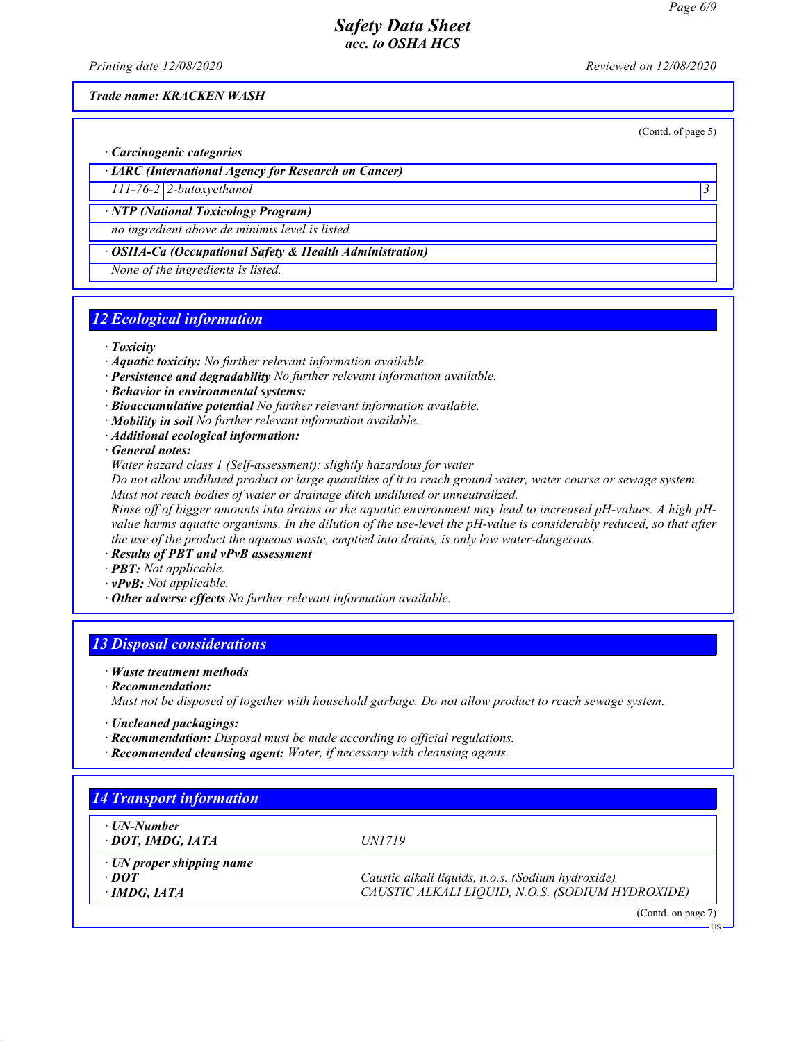*Printing date 12/08/2020 Reviewed on 12/08/2020*

*Trade name: KRACKEN WASH*

(Contd. of page 5)

*· Carcinogenic categories*

*· IARC (International Agency for Research on Cancer)*

*111-76-2 2-butoxyethanol 3* 

*· NTP (National Toxicology Program)*

*no ingredient above de minimis level is listed*

*· OSHA-Ca (Occupational Safety & Health Administration)*

*None of the ingredients is listed.*

# *12 Ecological information*

- *· Toxicity*
- *· Aquatic toxicity: No further relevant information available.*
- *· Persistence and degradability No further relevant information available.*
- *· Behavior in environmental systems:*
- *· Bioaccumulative potential No further relevant information available.*
- *· Mobility in soil No further relevant information available.*
- *· Additional ecological information:*

*· General notes:*

*Water hazard class 1 (Self-assessment): slightly hazardous for water*

*Do not allow undiluted product or large quantities of it to reach ground water, water course or sewage system. Must not reach bodies of water or drainage ditch undiluted or unneutralized.*

*Rinse off of bigger amounts into drains or the aquatic environment may lead to increased pH-values. A high pHvalue harms aquatic organisms. In the dilution of the use-level the pH-value is considerably reduced, so that after the use of the product the aqueous waste, emptied into drains, is only low water-dangerous.*

- *· Results of PBT and vPvB assessment*
- *· PBT: Not applicable.*
- *· vPvB: Not applicable.*
- *· Other adverse effects No further relevant information available.*

## *13 Disposal considerations*

- *· Waste treatment methods*
- *· Recommendation:*

*Must not be disposed of together with household garbage. Do not allow product to reach sewage system.*

- *· Uncleaned packagings:*
- *· Recommendation: Disposal must be made according to official regulations.*
- *· Recommended cleansing agent: Water, if necessary with cleansing agents.*

| · UN-Number                     |                                                   |
|---------------------------------|---------------------------------------------------|
| · DOT, IMDG, IATA               | <i>UN1719</i>                                     |
| $\cdot$ UN proper shipping name |                                                   |
| $\cdot$ DOT                     | Caustic alkali liquids, n.o.s. (Sodium hydroxide) |
| $\cdot$ IMDG, IATA              | CAUSTIC ALKALI LIQUID, N.O.S. (SODIUM HYDROXIDE)  |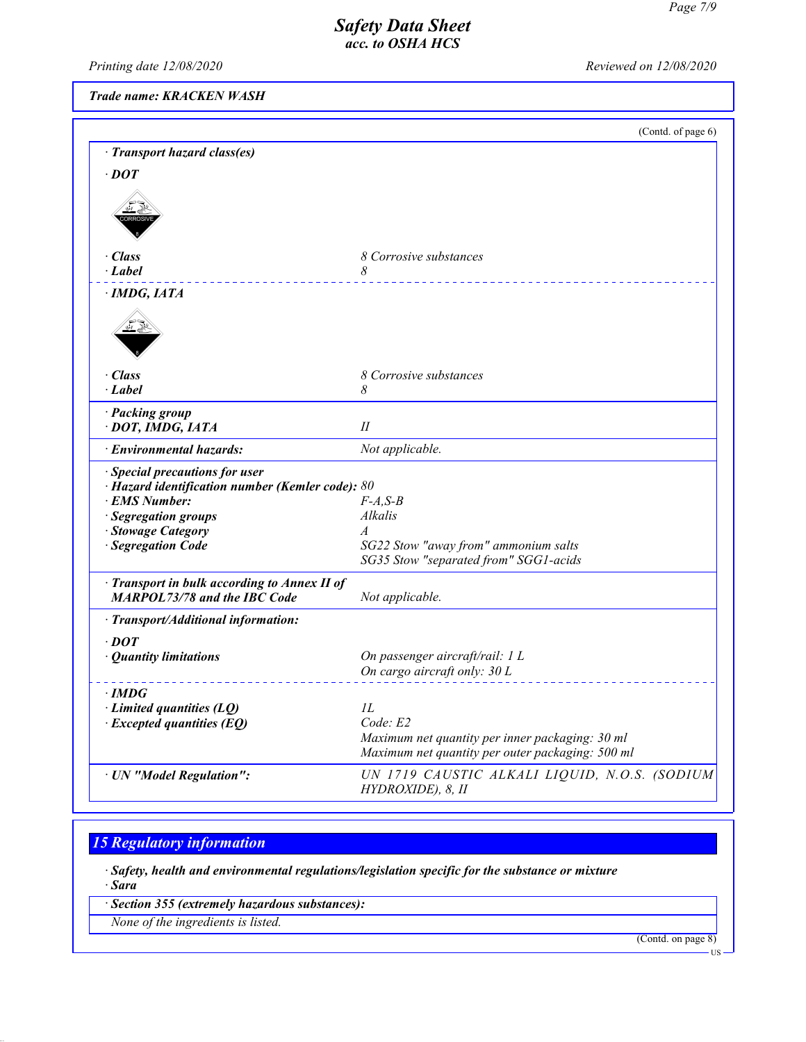*Printing date 12/08/2020 Reviewed on 12/08/2020*

*Trade name: KRACKEN WASH*

| 8 Corrosive substances<br>8<br>8 Corrosive substances<br>8<br>П<br>Not applicable.<br>· Special precautions for user<br>$\cdot$ Hazard identification number (Kemler code): 80<br>$F-A, S-B$<br>Alkalis<br>$\overline{A}$<br>SG22 Stow "away from" ammonium salts<br>SG35 Stow "separated from" SGG1-acids<br>Not applicable.<br>On passenger aircraft/rail: 1 L<br>Quantity limitations<br>On cargo aircraft only: 30 L<br>· IMDG<br>$\cdot$ Limited quantities (LQ)<br>IL<br>Code: E2<br>$\cdot$ Excepted quantities (EQ)<br>Maximum net quantity per inner packaging: 30 ml<br>Maximum net quantity per outer packaging: 500 ml<br>UN 1719 CAUSTIC ALKALI LIQUID, N.O.S. (SODIUM<br>· UN "Model Regulation": |                                              | (Contd. of page 6) |
|-----------------------------------------------------------------------------------------------------------------------------------------------------------------------------------------------------------------------------------------------------------------------------------------------------------------------------------------------------------------------------------------------------------------------------------------------------------------------------------------------------------------------------------------------------------------------------------------------------------------------------------------------------------------------------------------------------------------|----------------------------------------------|--------------------|
|                                                                                                                                                                                                                                                                                                                                                                                                                                                                                                                                                                                                                                                                                                                 | · Transport hazard class(es)                 |                    |
|                                                                                                                                                                                                                                                                                                                                                                                                                                                                                                                                                                                                                                                                                                                 | $\cdot$ DOT                                  |                    |
|                                                                                                                                                                                                                                                                                                                                                                                                                                                                                                                                                                                                                                                                                                                 |                                              |                    |
|                                                                                                                                                                                                                                                                                                                                                                                                                                                                                                                                                                                                                                                                                                                 |                                              |                    |
|                                                                                                                                                                                                                                                                                                                                                                                                                                                                                                                                                                                                                                                                                                                 |                                              |                    |
|                                                                                                                                                                                                                                                                                                                                                                                                                                                                                                                                                                                                                                                                                                                 |                                              |                    |
|                                                                                                                                                                                                                                                                                                                                                                                                                                                                                                                                                                                                                                                                                                                 | · Class                                      |                    |
|                                                                                                                                                                                                                                                                                                                                                                                                                                                                                                                                                                                                                                                                                                                 | $\cdot$ Label                                |                    |
|                                                                                                                                                                                                                                                                                                                                                                                                                                                                                                                                                                                                                                                                                                                 | · IMDG, IATA                                 |                    |
|                                                                                                                                                                                                                                                                                                                                                                                                                                                                                                                                                                                                                                                                                                                 |                                              |                    |
|                                                                                                                                                                                                                                                                                                                                                                                                                                                                                                                                                                                                                                                                                                                 |                                              |                    |
|                                                                                                                                                                                                                                                                                                                                                                                                                                                                                                                                                                                                                                                                                                                 |                                              |                    |
|                                                                                                                                                                                                                                                                                                                                                                                                                                                                                                                                                                                                                                                                                                                 |                                              |                    |
|                                                                                                                                                                                                                                                                                                                                                                                                                                                                                                                                                                                                                                                                                                                 | · Class                                      |                    |
|                                                                                                                                                                                                                                                                                                                                                                                                                                                                                                                                                                                                                                                                                                                 | $\cdot$ Label                                |                    |
|                                                                                                                                                                                                                                                                                                                                                                                                                                                                                                                                                                                                                                                                                                                 | · Packing group                              |                    |
|                                                                                                                                                                                                                                                                                                                                                                                                                                                                                                                                                                                                                                                                                                                 | · DOT, IMDG, IATA                            |                    |
|                                                                                                                                                                                                                                                                                                                                                                                                                                                                                                                                                                                                                                                                                                                 | · Environmental hazards:                     |                    |
|                                                                                                                                                                                                                                                                                                                                                                                                                                                                                                                                                                                                                                                                                                                 |                                              |                    |
|                                                                                                                                                                                                                                                                                                                                                                                                                                                                                                                                                                                                                                                                                                                 |                                              |                    |
|                                                                                                                                                                                                                                                                                                                                                                                                                                                                                                                                                                                                                                                                                                                 | <b>EMS Number:</b>                           |                    |
|                                                                                                                                                                                                                                                                                                                                                                                                                                                                                                                                                                                                                                                                                                                 | · Segregation groups                         |                    |
|                                                                                                                                                                                                                                                                                                                                                                                                                                                                                                                                                                                                                                                                                                                 | Stowage Category                             |                    |
|                                                                                                                                                                                                                                                                                                                                                                                                                                                                                                                                                                                                                                                                                                                 | · Segregation Code                           |                    |
|                                                                                                                                                                                                                                                                                                                                                                                                                                                                                                                                                                                                                                                                                                                 |                                              |                    |
|                                                                                                                                                                                                                                                                                                                                                                                                                                                                                                                                                                                                                                                                                                                 | · Transport in bulk according to Annex II of |                    |
|                                                                                                                                                                                                                                                                                                                                                                                                                                                                                                                                                                                                                                                                                                                 | <b>MARPOL73/78 and the IBC Code</b>          |                    |
|                                                                                                                                                                                                                                                                                                                                                                                                                                                                                                                                                                                                                                                                                                                 | · Transport/Additional information:          |                    |
|                                                                                                                                                                                                                                                                                                                                                                                                                                                                                                                                                                                                                                                                                                                 | $\cdot$ DOT                                  |                    |
|                                                                                                                                                                                                                                                                                                                                                                                                                                                                                                                                                                                                                                                                                                                 |                                              |                    |
|                                                                                                                                                                                                                                                                                                                                                                                                                                                                                                                                                                                                                                                                                                                 |                                              |                    |
|                                                                                                                                                                                                                                                                                                                                                                                                                                                                                                                                                                                                                                                                                                                 |                                              |                    |
|                                                                                                                                                                                                                                                                                                                                                                                                                                                                                                                                                                                                                                                                                                                 |                                              |                    |
|                                                                                                                                                                                                                                                                                                                                                                                                                                                                                                                                                                                                                                                                                                                 |                                              |                    |
|                                                                                                                                                                                                                                                                                                                                                                                                                                                                                                                                                                                                                                                                                                                 |                                              |                    |
|                                                                                                                                                                                                                                                                                                                                                                                                                                                                                                                                                                                                                                                                                                                 |                                              |                    |
|                                                                                                                                                                                                                                                                                                                                                                                                                                                                                                                                                                                                                                                                                                                 |                                              |                    |
|                                                                                                                                                                                                                                                                                                                                                                                                                                                                                                                                                                                                                                                                                                                 |                                              | HYDROXIDE), 8, II  |

# *15 Regulatory information*

*· Safety, health and environmental regulations/legislation specific for the substance or mixture · Sara*

*· Section 355 (extremely hazardous substances):*

*None of the ingredients is listed.*

(Contd. on page 8)

US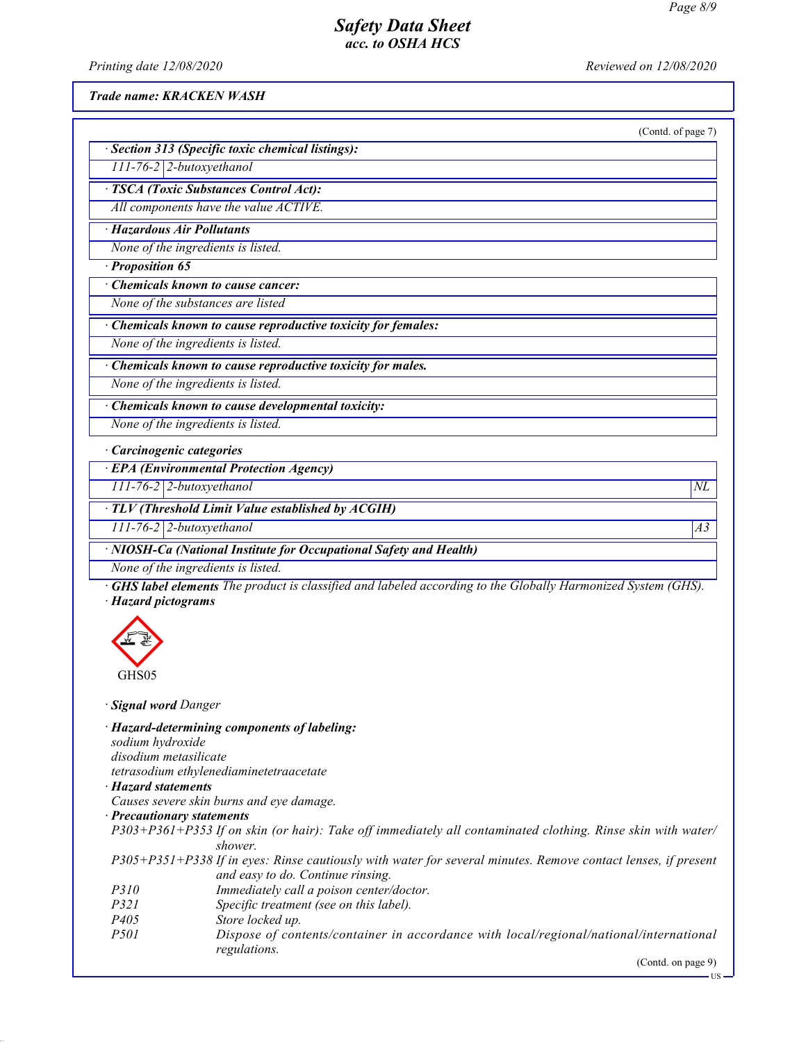*Printing date 12/08/2020 Reviewed on 12/08/2020*

*Trade name: KRACKEN WASH*

|                                                                    | (Contd. of page 7) |
|--------------------------------------------------------------------|--------------------|
| · Section 313 (Specific toxic chemical listings):                  |                    |
| $111$ -76-2 2-butoxyethanol                                        |                    |
| · TSCA (Toxic Substances Control Act):                             |                    |
| All components have the value ACTIVE.                              |                    |
| · Hazardous Air Pollutants                                         |                    |
| None of the ingredients is listed.                                 |                    |
| Proposition 65                                                     |                    |
| $\overline{\cdot}$ Chemicals known to cause cancer:                |                    |
| None of the substances are listed                                  |                    |
| · Chemicals known to cause reproductive toxicity for females:      |                    |
| None of the ingredients is listed.                                 |                    |
| $\cdot$ Chemicals known to cause reproductive toxicity for males.  |                    |
| None of the ingredients is listed.                                 |                    |
| · Chemicals known to cause developmental toxicity:                 |                    |
| None of the ingredients is listed.                                 |                    |
| · Carcinogenic categories                                          |                    |
| · EPA (Environmental Protection Agency)                            |                    |
| 111-76-2 2-butoxyethanol                                           | $N\!L$             |
| · TLV (Threshold Limit Value established by ACGIH)                 |                    |
| 111-76-2 2-butoxyethanol                                           | A <sub>3</sub>     |
| · NIOSH-Ca (National Institute for Occupational Safety and Health) |                    |
| None of the ingredients is listed.                                 |                    |



*· Signal word Danger*

*· Hazard-determining components of labeling: sodium hydroxide disodium metasilicate tetrasodium ethylenediaminetetraacetate*

- *· Hazard statements*
- *Causes severe skin burns and eye damage.*
- *· Precautionary statements*

*P303+P361+P353 If on skin (or hair): Take off immediately all contaminated clothing. Rinse skin with water/ shower.*

*P305+P351+P338 If in eyes: Rinse cautiously with water for several minutes. Remove contact lenses, if present and easy to do. Continue rinsing.*

- *P310 Immediately call a poison center/doctor.*
- Specific treatment (see on this label).
- *P405 Store locked up.*
- *P501 Dispose of contents/container in accordance with local/regional/national/international regulations.*

(Contd. on page 9)

US